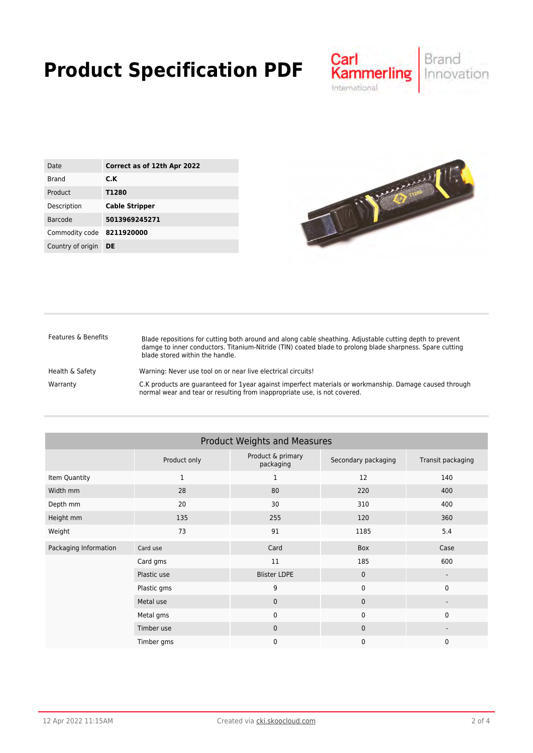## **Product Specification PDF**



| Date              | Correct as of 12th Apr 2022 |
|-------------------|-----------------------------|
| <b>Brand</b>      | C.K                         |
| Product           | T1280                       |
| Description       | <b>Cable Stripper</b>       |
| Barcode           | 5013969245271               |
| Commodity code    | 8211920000                  |
| Country of origin | DE                          |



| Features & Benefits | Blade repositions for cutting both around and along cable sheathing. Adjustable cutting depth to prevent<br>damge to inner conductors. Titanium-Nitride (TIN) coated blade to prolong blade sharpness. Spare cutting<br>blade stored within the handle. |
|---------------------|---------------------------------------------------------------------------------------------------------------------------------------------------------------------------------------------------------------------------------------------------------|
| Health & Safety     | Warning: Never use tool on or near live electrical circuits!                                                                                                                                                                                            |
| Warranty            | C.K products are quaranteed for 1year against imperfect materials or workmanship. Damage caused through<br>normal wear and tear or resulting from inappropriate use, is not covered.                                                                    |

| <b>Product Weights and Measures</b> |              |                                |                     |                          |  |  |
|-------------------------------------|--------------|--------------------------------|---------------------|--------------------------|--|--|
|                                     | Product only | Product & primary<br>packaging | Secondary packaging | Transit packaging        |  |  |
| Item Quantity                       | $\mathbf{1}$ | 1                              | 12                  | 140                      |  |  |
| Width mm                            | 28           | 80                             | 220                 | 400                      |  |  |
| Depth mm                            | 20           | 30                             | 310                 | 400                      |  |  |
| Height mm                           | 135          | 255                            | 120                 | 360                      |  |  |
| Weight                              | 73           | 91                             | 1185                | 5.4                      |  |  |
| Packaging Information               | Card use     | Card                           | Box                 | Case                     |  |  |
|                                     | Card gms     | 11                             | 185                 | 600                      |  |  |
|                                     | Plastic use  | <b>Blister LDPE</b>            | $\mathbf{0}$        | $\overline{\phantom{a}}$ |  |  |
|                                     | Plastic gms  | 9                              | $\mathbf 0$         | $\mathbf 0$              |  |  |
|                                     | Metal use    | $\mathbf{0}$                   | $\mathbf{0}$        |                          |  |  |
|                                     | Metal gms    | 0                              | $\mathbf{0}$        | $\mathbf{0}$             |  |  |
|                                     | Timber use   | $\mathbf{0}$                   | $\mathbf{0}$        |                          |  |  |
|                                     | Timber gms   | $\mathbf{0}$                   | $\mathbf 0$         | $\mathbf 0$              |  |  |